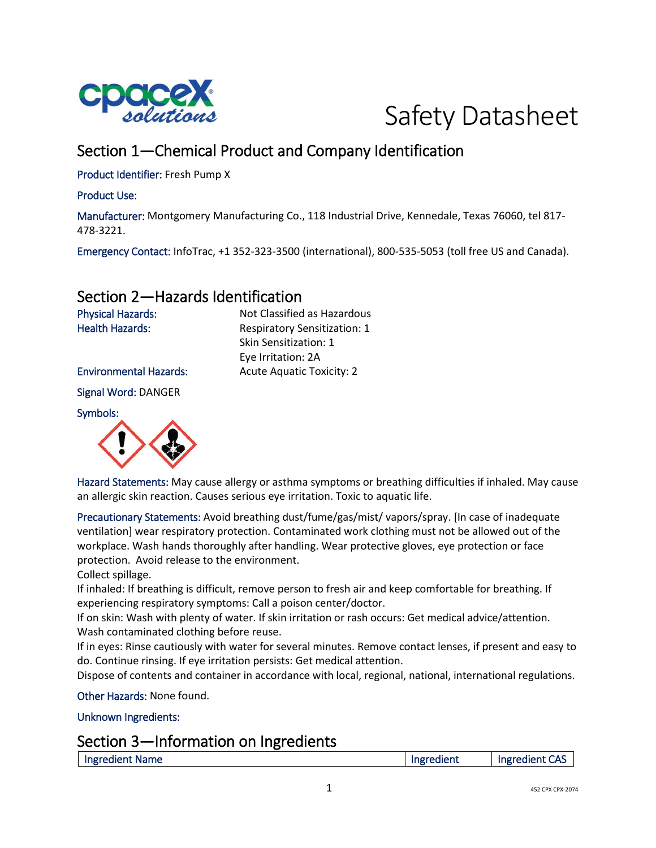



# Section 1—Chemical Product and Company Identification

Product Identifier: Fresh Pump X

Product Use:

Manufacturer: Montgomery Manufacturing Co., 118 Industrial Drive, Kennedale, Texas 76060, tel 817- 478-3221.

Emergency Contact: InfoTrac, +1 352-323-3500 (international), 800-535-5053 (toll free US and Canada).

## Section 2—Hazards Identification

Physical Hazards: Not Classified as Hazardous Health Hazards: Respiratory Sensitization: 1 Skin Sensitization: 1 Eye Irritation: 2A Environmental Hazards: Acute Aquatic Toxicity: 2

Signal Word: DANGER

Symbols:



Hazard Statements: May cause allergy or asthma symptoms or breathing difficulties if inhaled. May cause an allergic skin reaction. Causes serious eye irritation. Toxic to aquatic life.

Precautionary Statements: Avoid breathing dust/fume/gas/mist/ vapors/spray. [In case of inadequate ventilation] wear respiratory protection. Contaminated work clothing must not be allowed out of the workplace. Wash hands thoroughly after handling. Wear protective gloves, eye protection or face protection. Avoid release to the environment.

Collect spillage.

If inhaled: If breathing is difficult, remove person to fresh air and keep comfortable for breathing. If experiencing respiratory symptoms: Call a poison center/doctor.

If on skin: Wash with plenty of water. If skin irritation or rash occurs: Get medical advice/attention. Wash contaminated clothing before reuse.

If in eyes: Rinse cautiously with water for several minutes. Remove contact lenses, if present and easy to do. Continue rinsing. If eye irritation persists: Get medical attention.

Dispose of contents and container in accordance with local, regional, national, international regulations.

Other Hazards: None found.

Unknown Ingredients:

### Section 3—Information on Ingredients

| Ingredient Name | Ingredient | <b>it CAS</b><br>Ingredient |
|-----------------|------------|-----------------------------|
|                 |            |                             |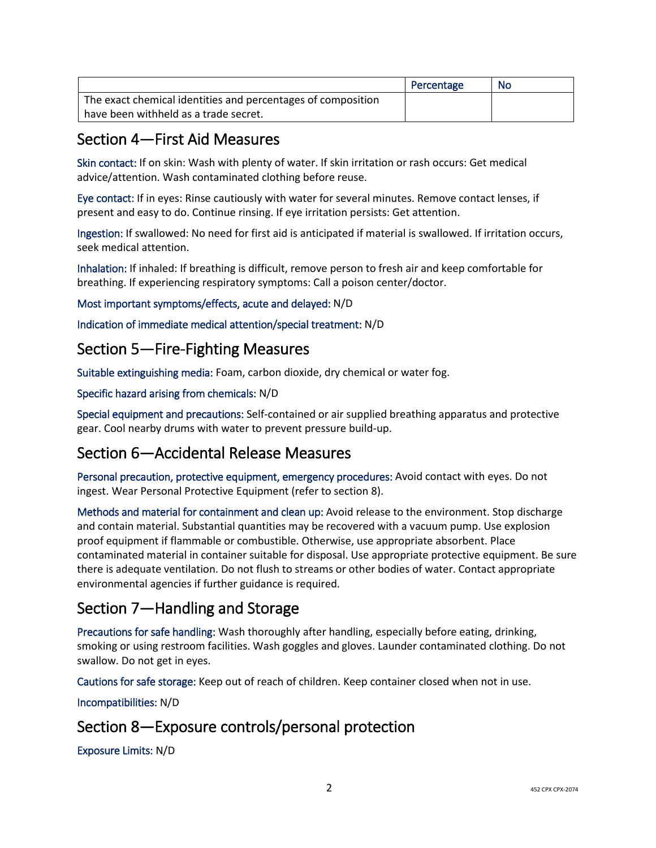|                                                              | Percentage | No |
|--------------------------------------------------------------|------------|----|
| The exact chemical identities and percentages of composition |            |    |
| l have been withheld as a trade secret.                      |            |    |

## Section 4—First Aid Measures

Skin contact: If on skin: Wash with plenty of water. If skin irritation or rash occurs: Get medical advice/attention. Wash contaminated clothing before reuse.

Eye contact: If in eyes: Rinse cautiously with water for several minutes. Remove contact lenses, if present and easy to do. Continue rinsing. If eye irritation persists: Get attention.

Ingestion: If swallowed: No need for first aid is anticipated if material is swallowed. If irritation occurs, seek medical attention.

Inhalation: If inhaled: If breathing is difficult, remove person to fresh air and keep comfortable for breathing. If experiencing respiratory symptoms: Call a poison center/doctor.

Most important symptoms/effects, acute and delayed: N/D

Indication of immediate medical attention/special treatment: N/D

## Section 5—Fire-Fighting Measures

Suitable extinguishing media: Foam, carbon dioxide, dry chemical or water fog.

#### Specific hazard arising from chemicals: N/D

Special equipment and precautions: Self-contained or air supplied breathing apparatus and protective gear. Cool nearby drums with water to prevent pressure build-up.

## Section 6—Accidental Release Measures

Personal precaution, protective equipment, emergency procedures: Avoid contact with eyes. Do not ingest. Wear Personal Protective Equipment (refer to section 8).

Methods and material for containment and clean up: Avoid release to the environment. Stop discharge and contain material. Substantial quantities may be recovered with a vacuum pump. Use explosion proof equipment if flammable or combustible. Otherwise, use appropriate absorbent. Place contaminated material in container suitable for disposal. Use appropriate protective equipment. Be sure there is adequate ventilation. Do not flush to streams or other bodies of water. Contact appropriate environmental agencies if further guidance is required.

# Section 7—Handling and Storage

Precautions for safe handling: Wash thoroughly after handling, especially before eating, drinking, smoking or using restroom facilities. Wash goggles and gloves. Launder contaminated clothing. Do not swallow. Do not get in eyes.

Cautions for safe storage: Keep out of reach of children. Keep container closed when not in use.

Incompatibilities: N/D

# Section 8—Exposure controls/personal protection

Exposure Limits: N/D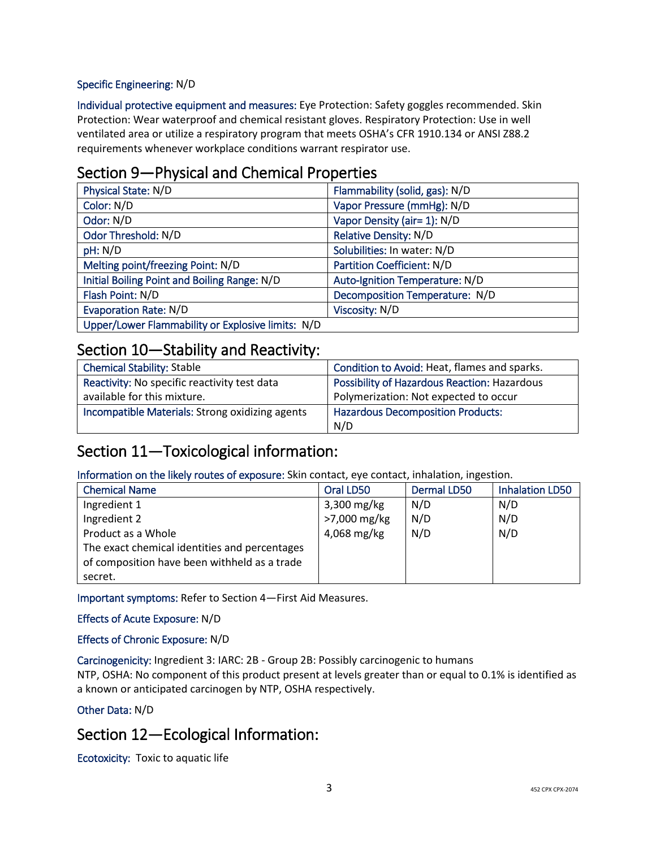#### Specific Engineering: N/D

Individual protective equipment and measures: Eye Protection: Safety goggles recommended. Skin Protection: Wear waterproof and chemical resistant gloves. Respiratory Protection: Use in well ventilated area or utilize a respiratory program that meets OSHA's CFR 1910.134 or ANSI Z88.2 requirements whenever workplace conditions warrant respirator use.

### Section 9—Physical and Chemical Properties

| Physical State: N/D                               | Flammability (solid, gas): N/D |
|---------------------------------------------------|--------------------------------|
| Color: N/D                                        | Vapor Pressure (mmHg): N/D     |
| Odor: N/D                                         | Vapor Density (air= 1): N/D    |
| Odor Threshold: N/D                               | <b>Relative Density: N/D</b>   |
| pH: N/D                                           | Solubilities: In water: N/D    |
| Melting point/freezing Point: N/D                 | Partition Coefficient: N/D     |
| Initial Boiling Point and Boiling Range: N/D      | Auto-Ignition Temperature: N/D |
| Flash Point: N/D                                  | Decomposition Temperature: N/D |
| <b>Evaporation Rate: N/D</b>                      | Viscosity: N/D                 |
| Upper/Lower Flammability or Explosive limits: N/D |                                |

### Section 10—Stability and Reactivity:

| <b>Chemical Stability: Stable</b>               | Condition to Avoid: Heat, flames and sparks. |
|-------------------------------------------------|----------------------------------------------|
| Reactivity: No specific reactivity test data    | Possibility of Hazardous Reaction: Hazardous |
| available for this mixture.                     | Polymerization: Not expected to occur        |
| Incompatible Materials: Strong oxidizing agents | <b>Hazardous Decomposition Products:</b>     |
|                                                 | N/D                                          |

## Section 11—Toxicological information:

Information on the likely routes of exposure: Skin contact, eye contact, inhalation, ingestion.

| <b>Chemical Name</b>                          | Oral LD50     | Dermal LD50 | <b>Inhalation LD50</b> |
|-----------------------------------------------|---------------|-------------|------------------------|
| Ingredient 1                                  | $3,300$ mg/kg | N/D         | N/D                    |
| Ingredient 2                                  | >7,000 mg/kg  | N/D         | N/D                    |
| Product as a Whole                            | 4,068 mg/kg   | N/D         | N/D                    |
| The exact chemical identities and percentages |               |             |                        |
| of composition have been withheld as a trade  |               |             |                        |
| secret.                                       |               |             |                        |

Important symptoms: Refer to Section 4—First Aid Measures.

Effects of Acute Exposure: N/D

#### Effects of Chronic Exposure: N/D

Carcinogenicity: Ingredient 3: IARC: 2B - Group 2B: Possibly carcinogenic to humans

NTP, OSHA: No component of this product present at levels greater than or equal to 0.1% is identified as a known or anticipated carcinogen by NTP, OSHA respectively.

#### Other Data: N/D

### Section 12—Ecological Information:

Ecotoxicity: Toxic to aquatic life